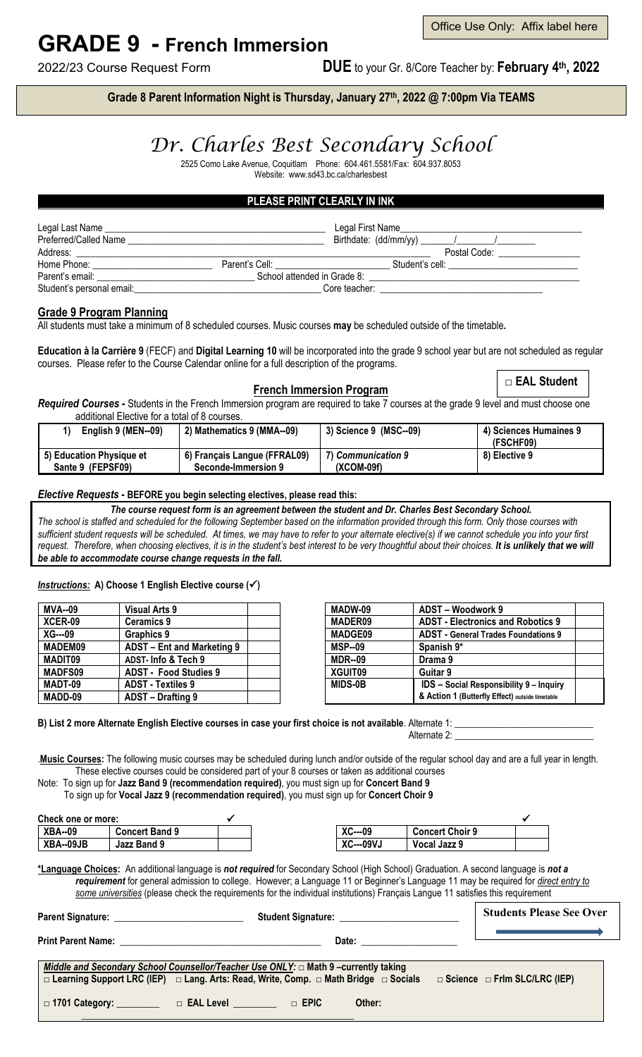# **GRADE 9 - French Immersion**

Office Use Only: Affix label here

2022/23 Course Request Form **DUE** to your Gr. 8/Core Teacher by: **February 4th, 2022**

**Grade 8 Parent Information Night is Thursday, January 27th, 2022 @ 7:00pm Via TEAMS**

## *Dr. Charles Best Secondary School*

2525 Como Lake Avenue, Coquitlam Phone: 604.461.5581/Fax: 604.937.8053 Website: www.sd43.bc.ca/charlesbest

### **PLEASE PRINT CLEARLY IN INK**

| Legal Last Name           |                                     | Legal First Name            |
|---------------------------|-------------------------------------|-----------------------------|
| Preferred/Called Name     |                                     |                             |
| Address:                  |                                     | Postal Code:                |
| Home Phone:               | Parent's Cell: <u>_____________</u> | Student's cell:             |
| Parent's email:           |                                     | School attended in Grade 8: |
| Student's personal email: |                                     | Core teacher:               |

#### **Grade 9 Program Planning**

All students must take a minimum of 8 scheduled courses. Music courses **may** be scheduled outside of the timetable**.**

**Education à la Carrière 9** (FECF) and **Digital Learning 10** will be incorporated into the grade 9 school year but are not scheduled as regular courses. Please refer to the Course Calendar online for a full description of the programs.

#### **French Immersion Program**

□ **EAL Student**

*Required Courses* **-** Students in the French Immersion program are required to take 7 courses at the grade 9 level and must choose one additional Elective for a total of 8 courses.

| English 9 (MEN--09)      | 2) Mathematics 9 (MMA--09)   | 3) Science 9 (MSC--09) | 4) Sciences Humaines 9<br>(FSCHF09) |
|--------------------------|------------------------------|------------------------|-------------------------------------|
| 5) Education Physique et | 6) Français Langue (FFRAL09) | 7) Communication 9     | 8) Elective 9                       |
| Sante 9 (FEPSF09)        | Seconde-Immersion 9          | (XCOM-09f)             |                                     |

#### *Elective Requests* **- BEFORE you begin selecting electives, please read this:**

*The course request form is an agreement between the student and Dr. Charles Best Secondary School. The school is staffed and scheduled for the following September based on the information provided through this form. Only those courses with sufficient student requests will be scheduled. At times, we may have to refer to your alternate elective(s) if we cannot schedule you into your first*  request. Therefore, when choosing electives, it is in the student's best interest to be very thoughtful about their choices. It is unlikely that we will *be able to accommodate course change requests in the fall.*

#### *Instructions:* **A) Choose 1 English Elective course ()**

| Visual Arts 9                | MADW-09        | ADST - Woodwork 9                               |  |
|------------------------------|----------------|-------------------------------------------------|--|
| <b>Ceramics 9</b>            | <b>MADER09</b> | <b>ADST - Electronics and Robotics 9</b>        |  |
| Graphics 9                   | <b>MADGE09</b> | <b>ADST</b> - General Trades Foundations 9      |  |
| ADST - Ent and Marketing 9   | <b>MSP--09</b> | Spanish 9*                                      |  |
| ADST- Info & Tech 9          | <b>MDR--09</b> | Drama 9                                         |  |
| <b>ADST - Food Studies 9</b> | XGUIT09        | Guitar 9                                        |  |
| <b>ADST - Textiles 9</b>     | <b>MIDS-0B</b> | <b>IDS</b> - Social Responsibility 9 - Inquiry  |  |
| ADST - Drafting 9            |                | & Action 1 (Butterfly Effect) outside timetable |  |
|                              |                |                                                 |  |

B) List 2 more Alternate English Elective courses in case your first choice is not available. Alternate 1:

Alternate 2: **\_\_\_\_\_\_\_\_\_\_\_\_\_\_\_\_\_\_\_\_\_\_\_\_\_\_\_\_\_**

.**Music Courses:** The following music courses may be scheduled during lunch and/or outside of the regular school day and are a full year in length. These elective courses could be considered part of your 8 courses or taken as additional courses

Note: To sign up for **Jazz Band 9 (recommendation required)**, you must sign up for **Concert Band 9**

To sign up for **Vocal Jazz 9 (recommendation required)**, you must sign up for **Concert Choir 9**

| Check one or more: |                       |                                  |                        |  |
|--------------------|-----------------------|----------------------------------|------------------------|--|
| <b>XBA--09</b>     | <b>Concert Band 9</b> | $\mathbf{v}$<br>$XC$ ---09       | <b>Concert Choir 9</b> |  |
| XBA--09JB          | Jazz Band 9           | $\mathbf{v}$<br><b>XC---09VJ</b> | Vocal Jazz 9           |  |

**\*Language Choices:** An additional language is *not required* for Secondary School (High School) Graduation. A second language is *not a requirement* for general admission to college. However; a Language 11 or Beginner's Language 11 may be required for *direct entry to some universities* (please check the requirements for the individual institutions) Français Langue 11 satisfies this requirement

|                                                                                                                                                                                                                                     | Student Signature:<br><u>Student Signature:</u>                                                                                                                                                                                | <b>Students Please See Over</b>          |
|-------------------------------------------------------------------------------------------------------------------------------------------------------------------------------------------------------------------------------------|--------------------------------------------------------------------------------------------------------------------------------------------------------------------------------------------------------------------------------|------------------------------------------|
| <b>Print Parent Name:</b> The Contract of the Contract of the Contract of the Contract of the Contract of the Contract of the Contract of the Contract of the Contract of the Contract of the Contract of the Contract of the Contr | Date: the contract of the contract of the contract of the contract of the contract of the contract of the contract of the contract of the contract of the contract of the contract of the contract of the contract of the cont |                                          |
|                                                                                                                                                                                                                                     | Middle and Secondary School Counsellor/Teacher Use ONLY: $\Box$ Math 9 -currently taking<br>$\Box$ Learning Support LRC (IEP) $\Box$ Lang. Arts: Read, Write, Comp. $\Box$ Math Bridge $\Box$ Socials                          | $\Box$ Science $\Box$ Frim SLC/LRC (IEP) |
| $\Box$ 1701 Category: $\Box$                                                                                                                                                                                                        | $\Box$ EPIC<br>$\Box$ EAL Level<br>Other:                                                                                                                                                                                      |                                          |